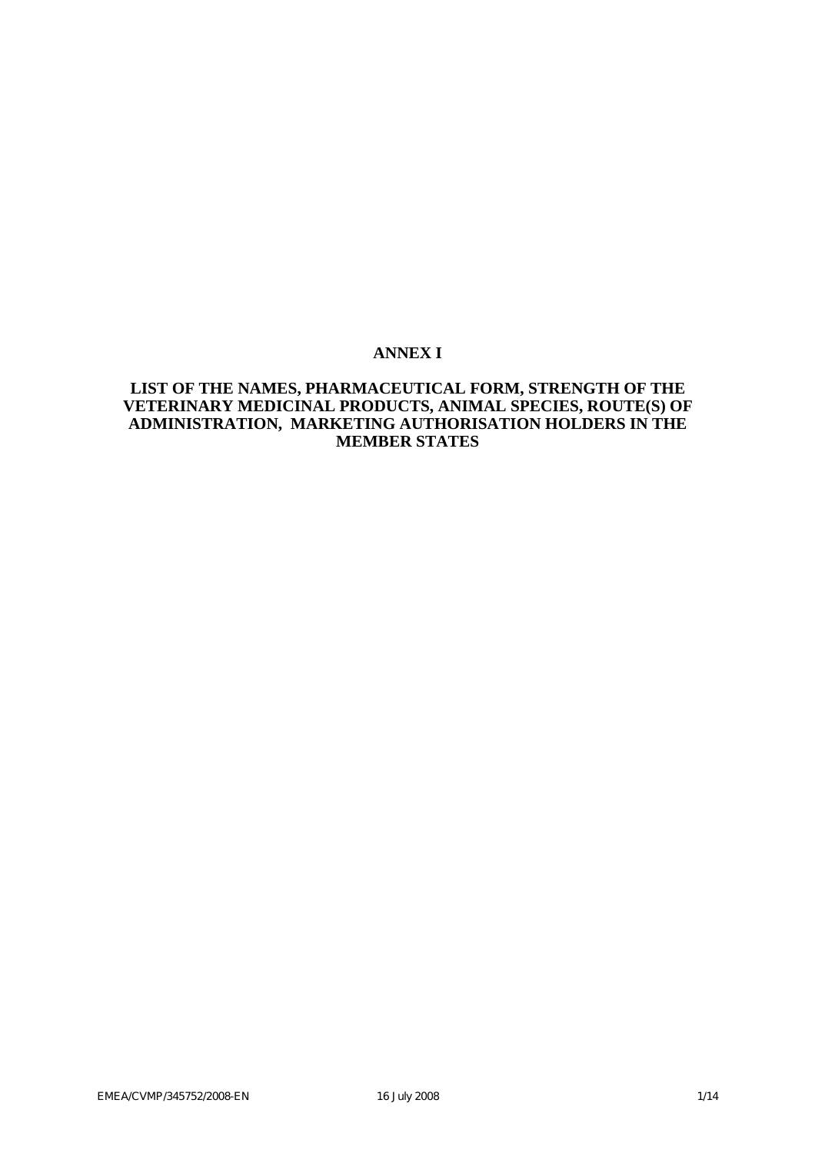## **ANNEX I**

## **LIST OF THE NAMES, PHARMACEUTICAL FORM, STRENGTH OF THE VETERINARY MEDICINAL PRODUCTS, ANIMAL SPECIES, ROUTE(S) OF ADMINISTRATION, MARKETING AUTHORISATION HOLDERS IN THE MEMBER STATES**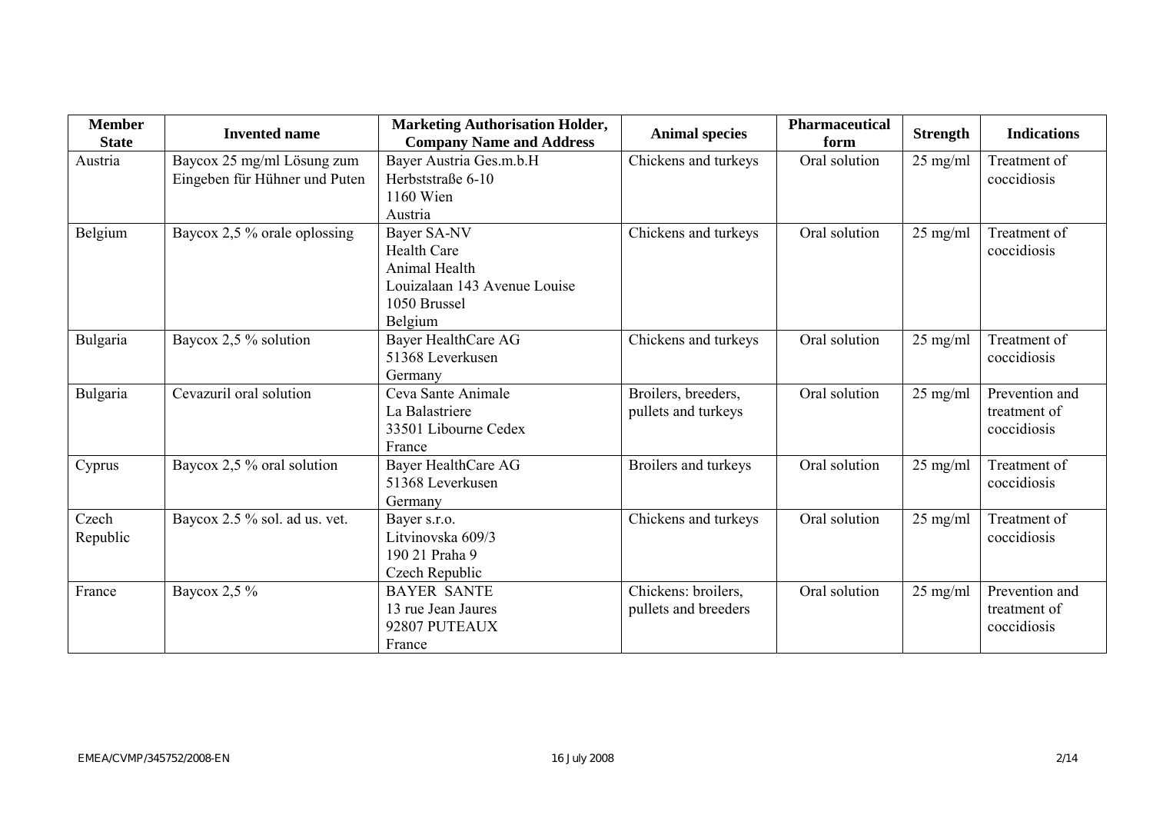| <b>Member</b><br><b>State</b> | <b>Invented name</b>                                        | <b>Marketing Authorisation Holder,</b><br><b>Company Name and Address</b>                                     | <b>Animal species</b>                       | <b>Pharmaceutical</b><br>form | <b>Strength</b>    | <b>Indications</b>                            |
|-------------------------------|-------------------------------------------------------------|---------------------------------------------------------------------------------------------------------------|---------------------------------------------|-------------------------------|--------------------|-----------------------------------------------|
| Austria                       | Baycox 25 mg/ml Lösung zum<br>Eingeben für Hühner und Puten | Bayer Austria Ges.m.b.H<br>Herbststraße 6-10<br>1160 Wien<br>Austria                                          | Chickens and turkeys                        | Oral solution                 | $25$ mg/ml         | Treatment of<br>coccidiosis                   |
| Belgium                       | Baycox 2,5 % orale oplossing                                | Bayer SA-NV<br><b>Health Care</b><br>Animal Health<br>Louizalaan 143 Avenue Louise<br>1050 Brussel<br>Belgium | Chickens and turkeys                        | Oral solution                 | 25 mg/ml           | Treatment of<br>coccidiosis                   |
| Bulgaria                      | Baycox 2,5 % solution                                       | Bayer HealthCare AG<br>51368 Leverkusen<br>Germany                                                            | Chickens and turkeys                        | Oral solution                 | $25$ mg/ml         | Treatment of<br>coccidiosis                   |
| Bulgaria                      | Cevazuril oral solution                                     | Ceva Sante Animale<br>La Balastriere<br>33501 Libourne Cedex<br>France                                        | Broilers, breeders,<br>pullets and turkeys  | Oral solution                 | 25 mg/ml           | Prevention and<br>treatment of<br>coccidiosis |
| Cyprus                        | Baycox 2,5 % oral solution                                  | Bayer HealthCare AG<br>51368 Leverkusen<br>Germany                                                            | Broilers and turkeys                        | Oral solution                 | $25$ mg/ml         | Treatment of<br>coccidiosis                   |
| Czech<br>Republic             | Baycox 2.5 % sol. ad us. vet.                               | Bayer s.r.o.<br>Litvinovska 609/3<br>190 21 Praha 9<br>Czech Republic                                         | Chickens and turkeys                        | Oral solution                 | 25 mg/ml           | Treatment of<br>coccidiosis                   |
| France                        | Baycox $2,5\%$                                              | <b>BAYER SANTE</b><br>13 rue Jean Jaures<br>92807 PUTEAUX<br>France                                           | Chickens: broilers,<br>pullets and breeders | Oral solution                 | $25 \text{ mg/ml}$ | Prevention and<br>treatment of<br>coccidiosis |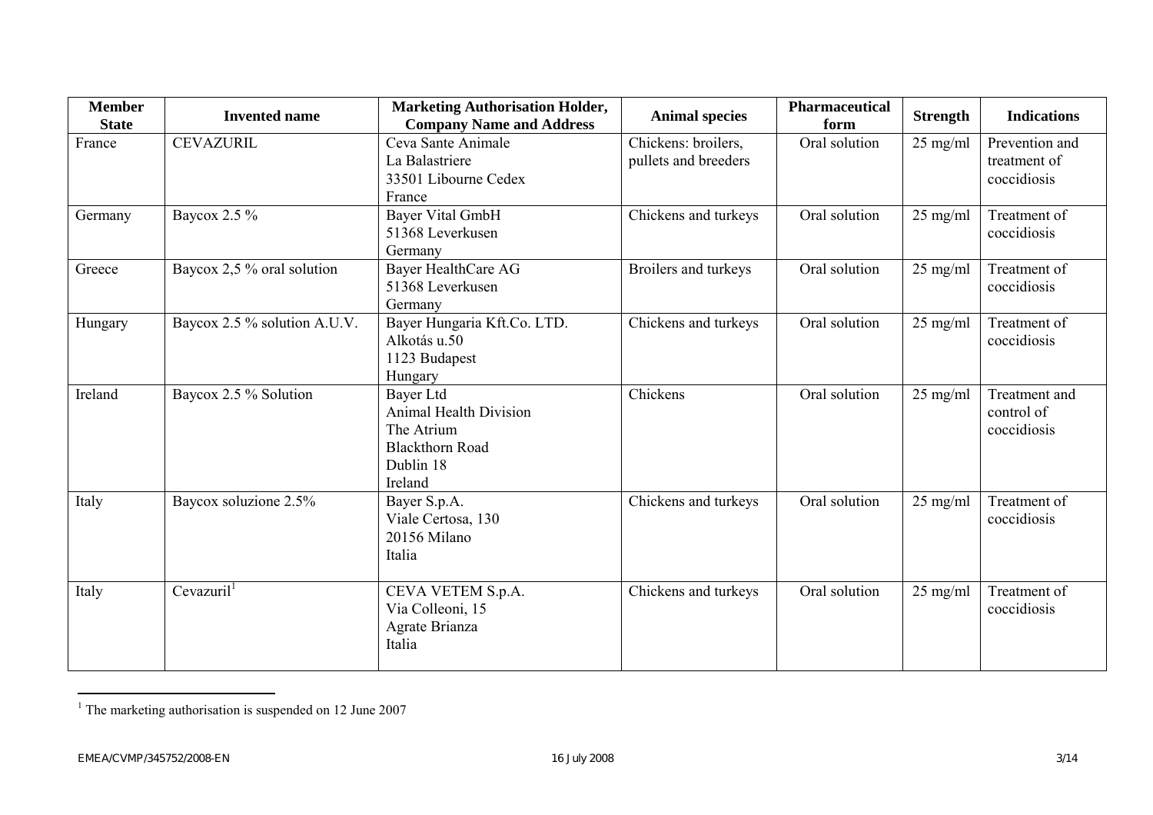| <b>Member</b><br><b>State</b> | <b>Invented name</b>         | <b>Marketing Authorisation Holder,</b><br><b>Company Name and Address</b>                                                                          | <b>Animal species</b> | <b>Pharmaceutical</b><br>form                 | <b>Strength</b>    | <b>Indications</b>                         |
|-------------------------------|------------------------------|----------------------------------------------------------------------------------------------------------------------------------------------------|-----------------------|-----------------------------------------------|--------------------|--------------------------------------------|
| France                        | <b>CEVAZURIL</b>             | Ceva Sante Animale<br>Chickens: broilers,<br>Oral solution<br>25 mg/ml<br>La Balastriere<br>pullets and breeders<br>33501 Libourne Cedex<br>France |                       | Prevention and<br>treatment of<br>coccidiosis |                    |                                            |
| Germany                       | Baycox 2.5 %                 | <b>Bayer Vital GmbH</b><br>51368 Leverkusen<br>Germany                                                                                             | Chickens and turkeys  | Oral solution                                 | $25 \text{ mg/ml}$ | Treatment of<br>coccidiosis                |
| Greece                        | Baycox 2,5 % oral solution   | Bayer HealthCare AG<br>51368 Leverkusen<br>Germany                                                                                                 | Broilers and turkeys  | Oral solution                                 | $25$ mg/ml         | Treatment of<br>coccidiosis                |
| Hungary                       | Baycox 2.5 % solution A.U.V. | Bayer Hungaria Kft.Co. LTD.<br>Alkotás u.50<br>1123 Budapest<br>Hungary                                                                            | Chickens and turkeys  | Oral solution                                 | 25 mg/ml           | Treatment of<br>coccidiosis                |
| Ireland                       | Baycox 2.5 % Solution        | Bayer Ltd<br><b>Animal Health Division</b><br>The Atrium<br><b>Blackthorn Road</b><br>Dublin 18<br>Ireland                                         | Chickens              | Oral solution                                 | $25$ mg/ml         | Treatment and<br>control of<br>coccidiosis |
| Italy                         | Baycox soluzione 2.5%        | Bayer S.p.A.<br>Viale Certosa, 130<br>20156 Milano<br>Italia                                                                                       | Chickens and turkeys  | Oral solution                                 | $25$ mg/ml         | Treatment of<br>coccidiosis                |
| Italy                         | Cevazuril <sup>1</sup>       | CEVA VETEM S.p.A.<br>Via Colleoni, 15<br>Agrate Brianza<br>Italia                                                                                  | Chickens and turkeys  | Oral solution                                 | $25$ mg/ml         | Treatment of<br>coccidiosis                |

<sup>&</sup>lt;sup>1</sup> The marketing authorisation is suspended on 12 June 2007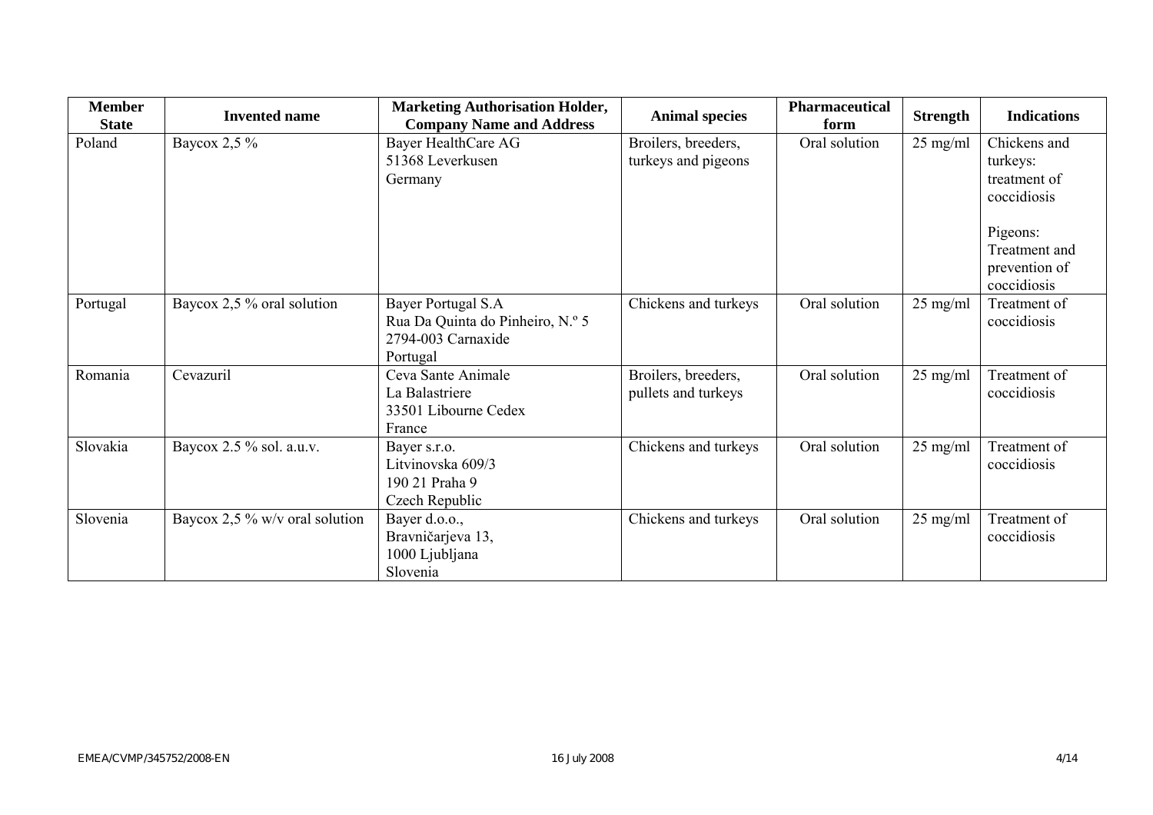| <b>Member</b><br><b>State</b> | <b>Invented name</b>           | <b>Marketing Authorisation Holder,</b><br><b>Company Name and Address</b>                | <b>Animal species</b>                      | Pharmaceutical<br>form | <b>Strength</b>    | <b>Indications</b>                                        |
|-------------------------------|--------------------------------|------------------------------------------------------------------------------------------|--------------------------------------------|------------------------|--------------------|-----------------------------------------------------------|
| Poland                        | Baycox 2,5 %                   | Bayer HealthCare AG<br>51368 Leverkusen<br>Germany                                       | Broilers, breeders,<br>turkeys and pigeons | Oral solution          | $25$ mg/ml         | Chickens and<br>turkeys:<br>treatment of<br>coccidiosis   |
|                               |                                |                                                                                          |                                            |                        |                    | Pigeons:<br>Treatment and<br>prevention of<br>coccidiosis |
| Portugal                      | Baycox 2,5 % oral solution     | Bayer Portugal S.A<br>Rua Da Quinta do Pinheiro, N.º 5<br>2794-003 Carnaxide<br>Portugal | Chickens and turkeys                       | Oral solution          | $25$ mg/ml         | Treatment of<br>coccidiosis                               |
| Romania                       | Cevazuril                      | Ceva Sante Animale<br>La Balastriere<br>33501 Libourne Cedex<br>France                   | Broilers, breeders,<br>pullets and turkeys | Oral solution          | $25$ mg/ml         | Treatment of<br>coccidiosis                               |
| Slovakia                      | Baycox 2.5 % sol. a.u.v.       | Bayer s.r.o.<br>Litvinovska 609/3<br>190 21 Praha 9<br>Czech Republic                    | Chickens and turkeys                       | Oral solution          | $25 \text{ mg/ml}$ | Treatment of<br>coccidiosis                               |
| Slovenia                      | Baycox 2,5 % w/v oral solution | Bayer d.o.o.,<br>Bravničarjeva 13,<br>1000 Ljubljana<br>Slovenia                         | Chickens and turkeys                       | Oral solution          | $25$ mg/ml         | Treatment of<br>coccidiosis                               |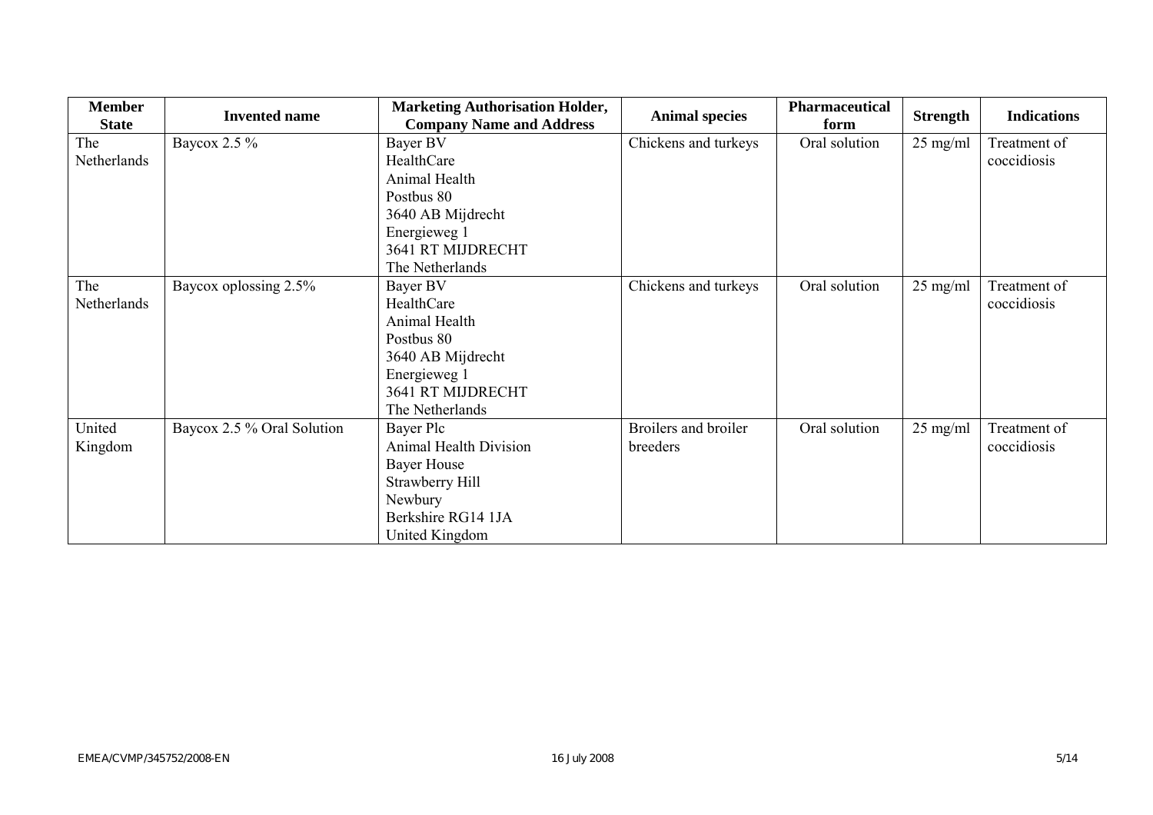| <b>Member</b> | <b>Invented name</b>       | <b>Marketing Authorisation Holder,</b> |                       | <b>Pharmaceutical</b> |                    | <b>Indications</b> |
|---------------|----------------------------|----------------------------------------|-----------------------|-----------------------|--------------------|--------------------|
| <b>State</b>  |                            | <b>Company Name and Address</b>        | <b>Animal species</b> | form                  | <b>Strength</b>    |                    |
| The           | Baycox 2.5 %               | Bayer BV                               | Chickens and turkeys  | Oral solution         | $25$ mg/ml         | Treatment of       |
| Netherlands   |                            | HealthCare                             |                       |                       |                    | coccidiosis        |
|               |                            | Animal Health                          |                       |                       |                    |                    |
|               |                            | Postbus 80                             |                       |                       |                    |                    |
|               |                            | 3640 AB Mijdrecht                      |                       |                       |                    |                    |
|               |                            | Energieweg 1                           |                       |                       |                    |                    |
|               |                            | 3641 RT MIJDRECHT                      |                       |                       |                    |                    |
|               |                            | The Netherlands                        |                       |                       |                    |                    |
| The           | Baycox oplossing 2.5%      | Bayer BV                               | Chickens and turkeys  | Oral solution         | $25$ mg/ml         | Treatment of       |
| Netherlands   |                            | HealthCare                             |                       |                       |                    | coccidiosis        |
|               |                            | Animal Health                          |                       |                       |                    |                    |
|               |                            | Postbus 80                             |                       |                       |                    |                    |
|               |                            | 3640 AB Mijdrecht                      |                       |                       |                    |                    |
|               |                            | Energieweg 1                           |                       |                       |                    |                    |
|               |                            | 3641 RT MIJDRECHT                      |                       |                       |                    |                    |
|               |                            | The Netherlands                        |                       |                       |                    |                    |
| United        | Baycox 2.5 % Oral Solution | Bayer Plc                              | Broilers and broiler  | Oral solution         | $25 \text{ mg/ml}$ | Treatment of       |
| Kingdom       |                            | <b>Animal Health Division</b>          | breeders              |                       |                    | coccidiosis        |
|               |                            | <b>Bayer House</b>                     |                       |                       |                    |                    |
|               |                            | Strawberry Hill                        |                       |                       |                    |                    |
|               |                            | Newbury                                |                       |                       |                    |                    |
|               |                            | Berkshire RG14 1JA                     |                       |                       |                    |                    |
|               |                            | United Kingdom                         |                       |                       |                    |                    |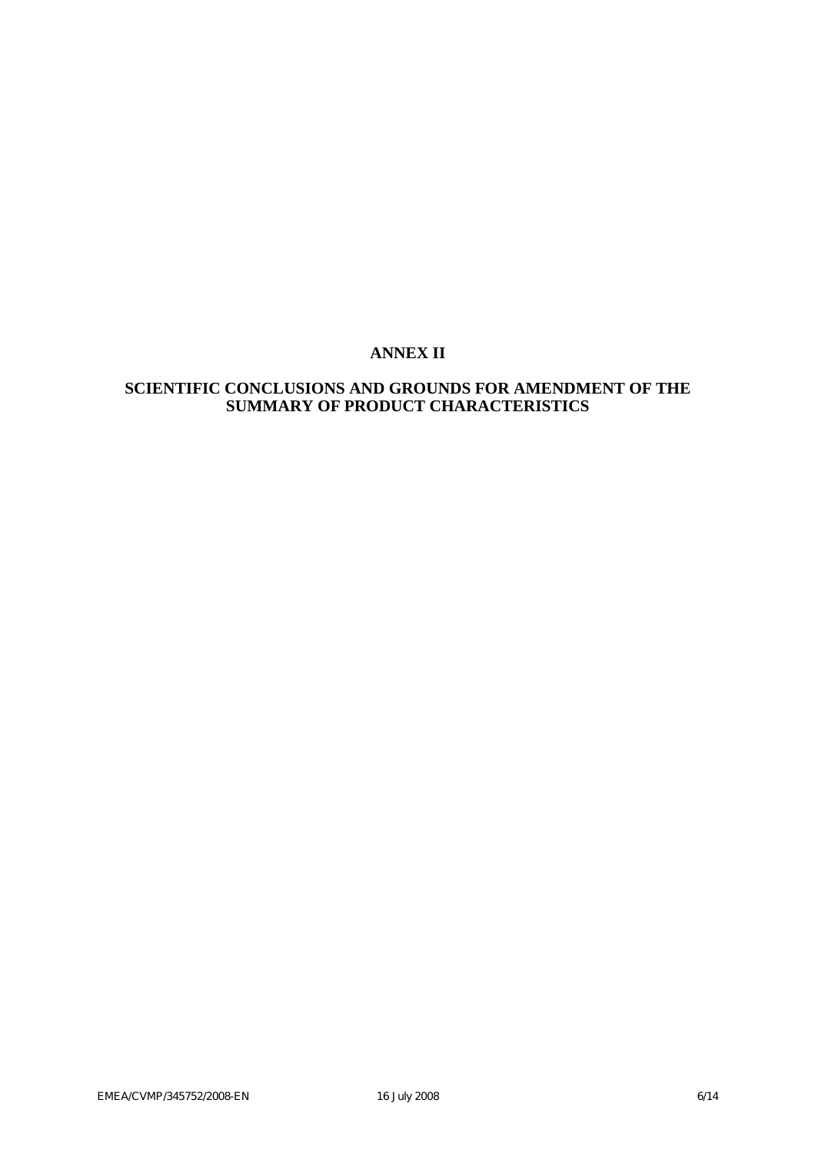# **ANNEX II**

# **SCIENTIFIC CONCLUSIONS AND GROUNDS FOR AMENDMENT OF THE SUMMARY OF PRODUCT CHARACTERISTICS**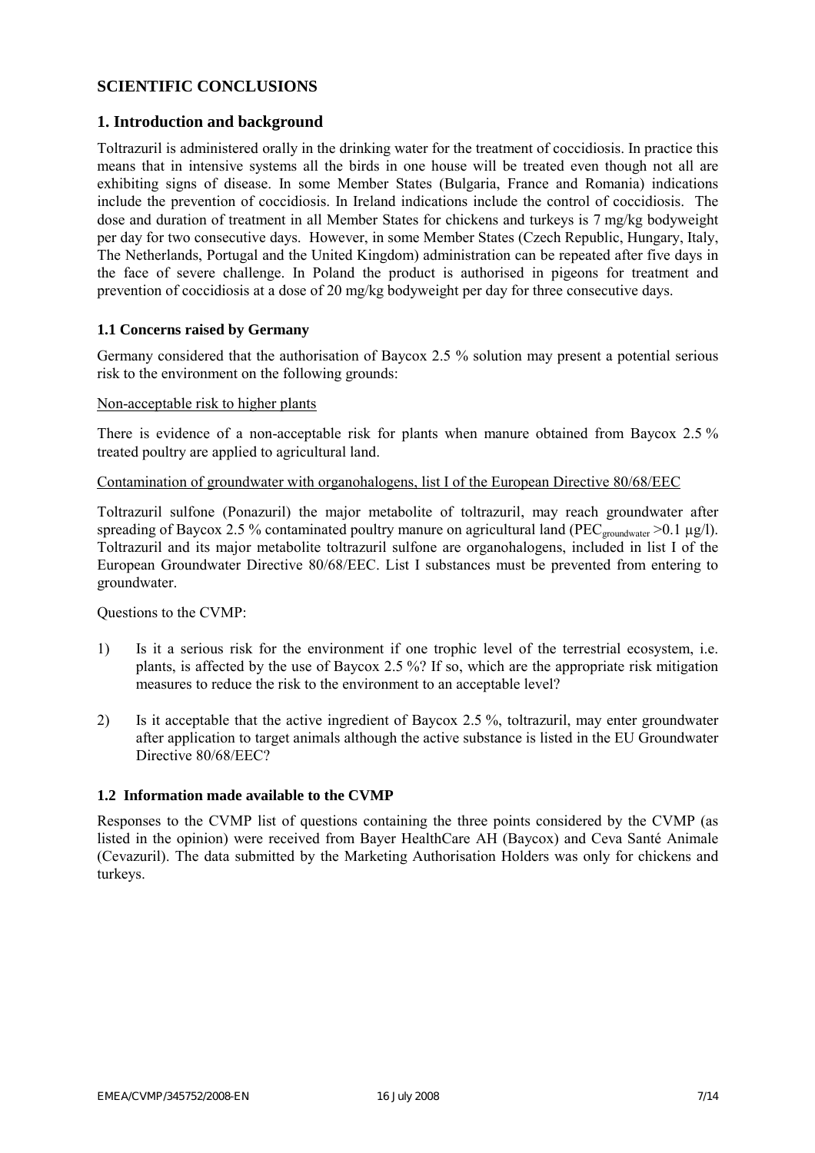## **SCIENTIFIC CONCLUSIONS**

### **1. Introduction and background**

Toltrazuril is administered orally in the drinking water for the treatment of coccidiosis. In practice this means that in intensive systems all the birds in one house will be treated even though not all are exhibiting signs of disease. In some Member States (Bulgaria, France and Romania) indications include the prevention of coccidiosis. In Ireland indications include the control of coccidiosis. The dose and duration of treatment in all Member States for chickens and turkeys is 7 mg/kg bodyweight per day for two consecutive days. However, in some Member States (Czech Republic, Hungary, Italy, The Netherlands, Portugal and the United Kingdom) administration can be repeated after five days in the face of severe challenge. In Poland the product is authorised in pigeons for treatment and prevention of coccidiosis at a dose of 20 mg/kg bodyweight per day for three consecutive days.

#### **1.1 Concerns raised by Germany**

Germany considered that the authorisation of Baycox 2.5 % solution may present a potential serious risk to the environment on the following grounds:

#### Non-acceptable risk to higher plants

There is evidence of a non-acceptable risk for plants when manure obtained from Baycox 2.5 % treated poultry are applied to agricultural land.

#### Contamination of groundwater with organohalogens, list I of the European Directive 80/68/EEC

Toltrazuril sulfone (Ponazuril) the major metabolite of toltrazuril, may reach groundwater after spreading of Baycox 2.5 % contaminated poultry manure on agricultural land (PEC<sub>groundwater</sub> >0.1 µg/l). Toltrazuril and its major metabolite toltrazuril sulfone are organohalogens, included in list I of the European Groundwater Directive 80/68/EEC. List I substances must be prevented from entering to groundwater.

Questions to the CVMP:

- 1) Is it a serious risk for the environment if one trophic level of the terrestrial ecosystem, i.e. plants, is affected by the use of Baycox 2.5 %? If so, which are the appropriate risk mitigation measures to reduce the risk to the environment to an acceptable level?
- 2) Is it acceptable that the active ingredient of Baycox 2.5 %, toltrazuril, may enter groundwater after application to target animals although the active substance is listed in the EU Groundwater Directive 80/68/EEC?

#### **1.2 Information made available to the CVMP**

Responses to the CVMP list of questions containing the three points considered by the CVMP (as listed in the opinion) were received from Bayer HealthCare AH (Baycox) and Ceva Santé Animale (Cevazuril). The data submitted by the Marketing Authorisation Holders was only for chickens and turkeys.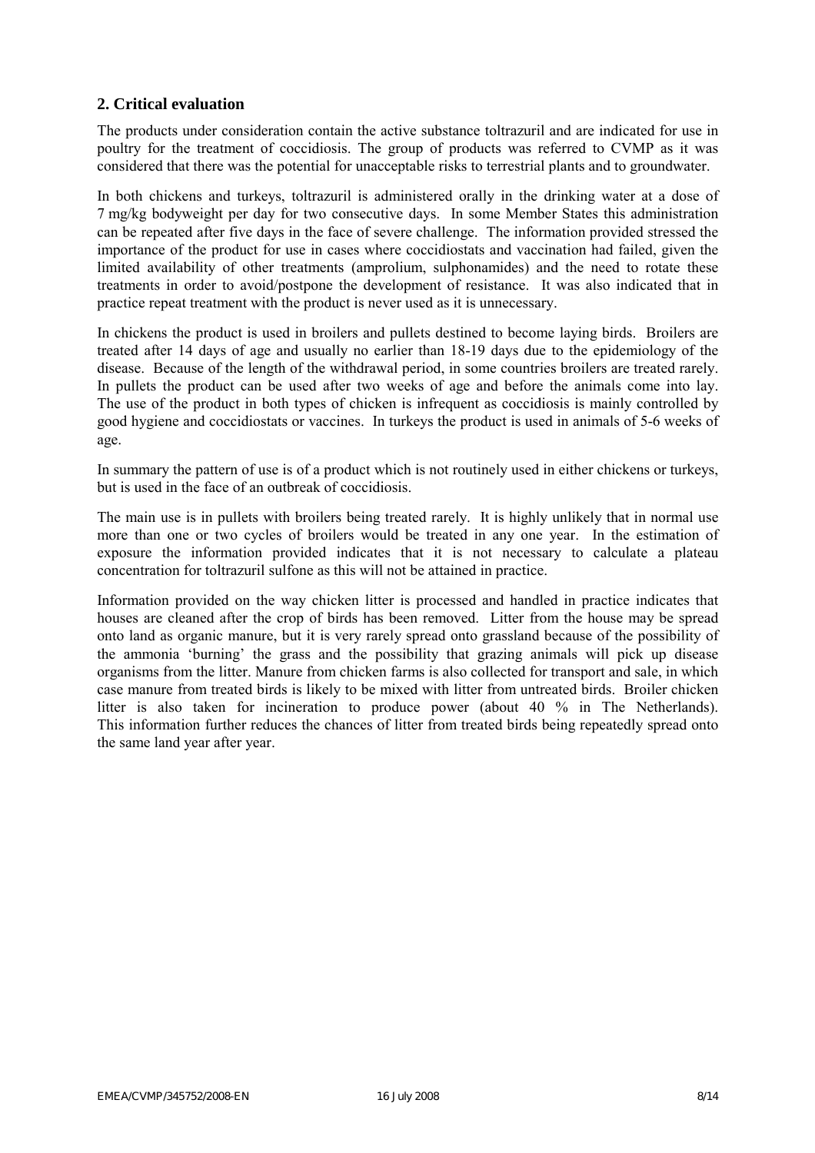### **2. Critical evaluation**

The products under consideration contain the active substance toltrazuril and are indicated for use in poultry for the treatment of coccidiosis. The group of products was referred to CVMP as it was considered that there was the potential for unacceptable risks to terrestrial plants and to groundwater.

In both chickens and turkeys, toltrazuril is administered orally in the drinking water at a dose of 7 mg/kg bodyweight per day for two consecutive days. In some Member States this administration can be repeated after five days in the face of severe challenge. The information provided stressed the importance of the product for use in cases where coccidiostats and vaccination had failed, given the limited availability of other treatments (amprolium, sulphonamides) and the need to rotate these treatments in order to avoid/postpone the development of resistance. It was also indicated that in practice repeat treatment with the product is never used as it is unnecessary.

In chickens the product is used in broilers and pullets destined to become laying birds. Broilers are treated after 14 days of age and usually no earlier than 18-19 days due to the epidemiology of the disease. Because of the length of the withdrawal period, in some countries broilers are treated rarely. In pullets the product can be used after two weeks of age and before the animals come into lay. The use of the product in both types of chicken is infrequent as coccidiosis is mainly controlled by good hygiene and coccidiostats or vaccines. In turkeys the product is used in animals of 5-6 weeks of age.

In summary the pattern of use is of a product which is not routinely used in either chickens or turkeys, but is used in the face of an outbreak of coccidiosis.

The main use is in pullets with broilers being treated rarely. It is highly unlikely that in normal use more than one or two cycles of broilers would be treated in any one year. In the estimation of exposure the information provided indicates that it is not necessary to calculate a plateau concentration for toltrazuril sulfone as this will not be attained in practice.

Information provided on the way chicken litter is processed and handled in practice indicates that houses are cleaned after the crop of birds has been removed. Litter from the house may be spread onto land as organic manure, but it is very rarely spread onto grassland because of the possibility of the ammonia 'burning' the grass and the possibility that grazing animals will pick up disease organisms from the litter. Manure from chicken farms is also collected for transport and sale, in which case manure from treated birds is likely to be mixed with litter from untreated birds. Broiler chicken litter is also taken for incineration to produce power (about 40 % in The Netherlands). This information further reduces the chances of litter from treated birds being repeatedly spread onto the same land year after year.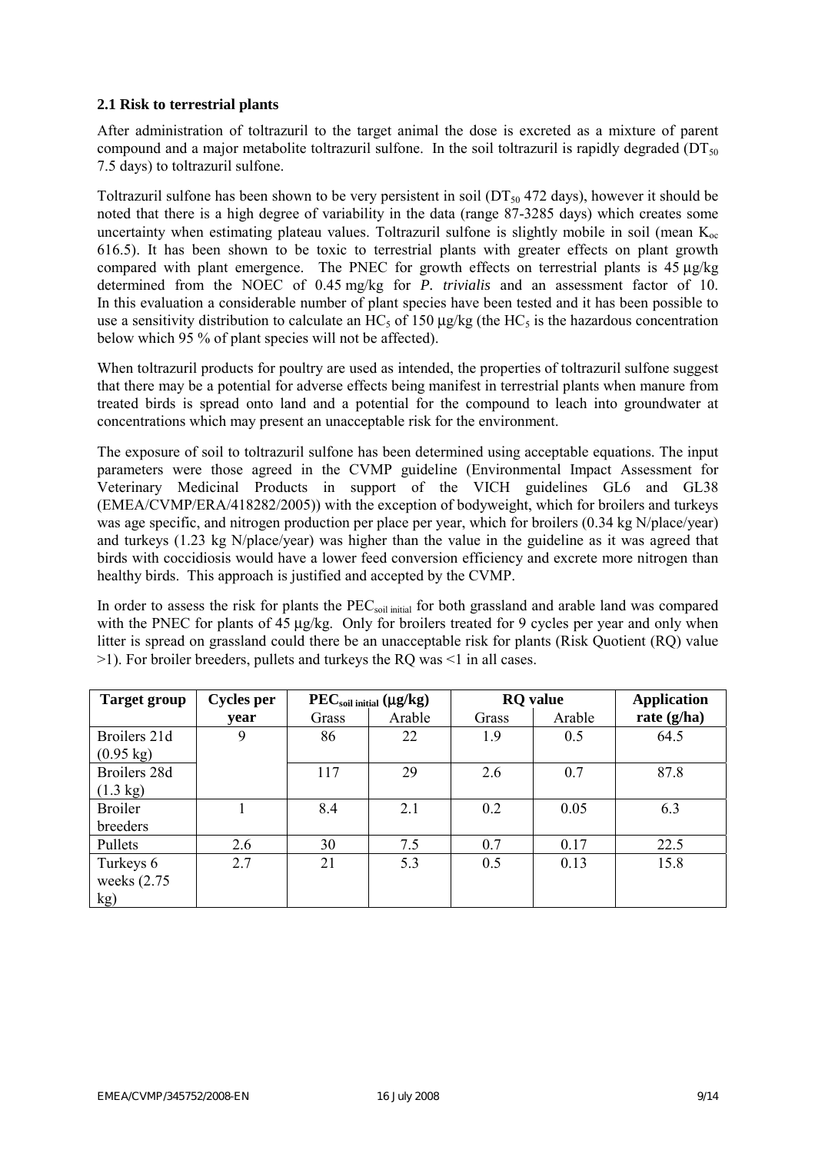#### **2.1 Risk to terrestrial plants**

After administration of toltrazuril to the target animal the dose is excreted as a mixture of parent compound and a major metabolite toltrazuril sulfone. In the soil toltrazuril is rapidly degraded ( $DT<sub>50</sub>$ ) 7.5 days) to toltrazuril sulfone.

Toltrazuril sulfone has been shown to be very persistent in soil ( $DT<sub>50</sub>$  472 days), however it should be noted that there is a high degree of variability in the data (range 87-3285 days) which creates some uncertainty when estimating plateau values. Toltrazuril sulfone is slightly mobile in soil (mean  $K_{oc}$ ) 616.5). It has been shown to be toxic to terrestrial plants with greater effects on plant growth compared with plant emergence. The PNEC for growth effects on terrestrial plants is 45 µg/kg determined from the NOEC of 0.45 mg/kg for *P. trivialis* and an assessment factor of 10. In this evaluation a considerable number of plant species have been tested and it has been possible to use a sensitivity distribution to calculate an HC<sub>5</sub> of 150  $\mu$ g/kg (the HC<sub>5</sub> is the hazardous concentration below which 95 % of plant species will not be affected).

When toltrazuril products for poultry are used as intended, the properties of toltrazuril sulfone suggest that there may be a potential for adverse effects being manifest in terrestrial plants when manure from treated birds is spread onto land and a potential for the compound to leach into groundwater at concentrations which may present an unacceptable risk for the environment.

The exposure of soil to toltrazuril sulfone has been determined using acceptable equations. The input parameters were those agreed in the CVMP guideline (Environmental Impact Assessment for Veterinary Medicinal Products in support of the VICH guidelines GL6 and GL38 (EMEA/CVMP/ERA/418282/2005)) with the exception of bodyweight, which for broilers and turkeys was age specific, and nitrogen production per place per year, which for broilers (0.34 kg N/place/year) and turkeys (1.23 kg N/place/year) was higher than the value in the guideline as it was agreed that birds with coccidiosis would have a lower feed conversion efficiency and excrete more nitrogen than healthy birds. This approach is justified and accepted by the CVMP.

In order to assess the risk for plants the PEC<sub>soil initial</sub> for both grassland and arable land was compared with the PNEC for plants of 45  $\mu$ g/kg. Only for broilers treated for 9 cycles per year and only when litter is spread on grassland could there be an unacceptable risk for plants (Risk Quotient (RQ) value >1). For broiler breeders, pullets and turkeys the RQ was <1 in all cases.

| <b>Target group</b> | <b>Cycles per</b> |       | PEC <sub>soil initial</sub> (µg/kg) | <b>RQ</b> value |        | <b>Application</b> |
|---------------------|-------------------|-------|-------------------------------------|-----------------|--------|--------------------|
|                     | year              | Grass | Arable                              | Grass           | Arable | rate $(g/ha)$      |
| Broilers 21d        | 9                 | 86    | 22                                  | 1.9             | 0.5    | 64.5               |
| $(0.95 \text{ kg})$ |                   |       |                                     |                 |        |                    |
| Broilers 28d        |                   | 117   | 29                                  | 2.6             | 0.7    | 87.8               |
| $(1.3 \text{ kg})$  |                   |       |                                     |                 |        |                    |
| <b>Broiler</b>      |                   | 8.4   | 2.1                                 | 0.2             | 0.05   | 6.3                |
| breeders            |                   |       |                                     |                 |        |                    |
| Pullets             | 2.6               | 30    | 7.5                                 | 0.7             | 0.17   | 22.5               |
| Turkeys 6           | 2.7               | 21    | 5.3                                 | 0.5             | 0.13   | 15.8               |
| weeks $(2.75)$      |                   |       |                                     |                 |        |                    |
| kg)                 |                   |       |                                     |                 |        |                    |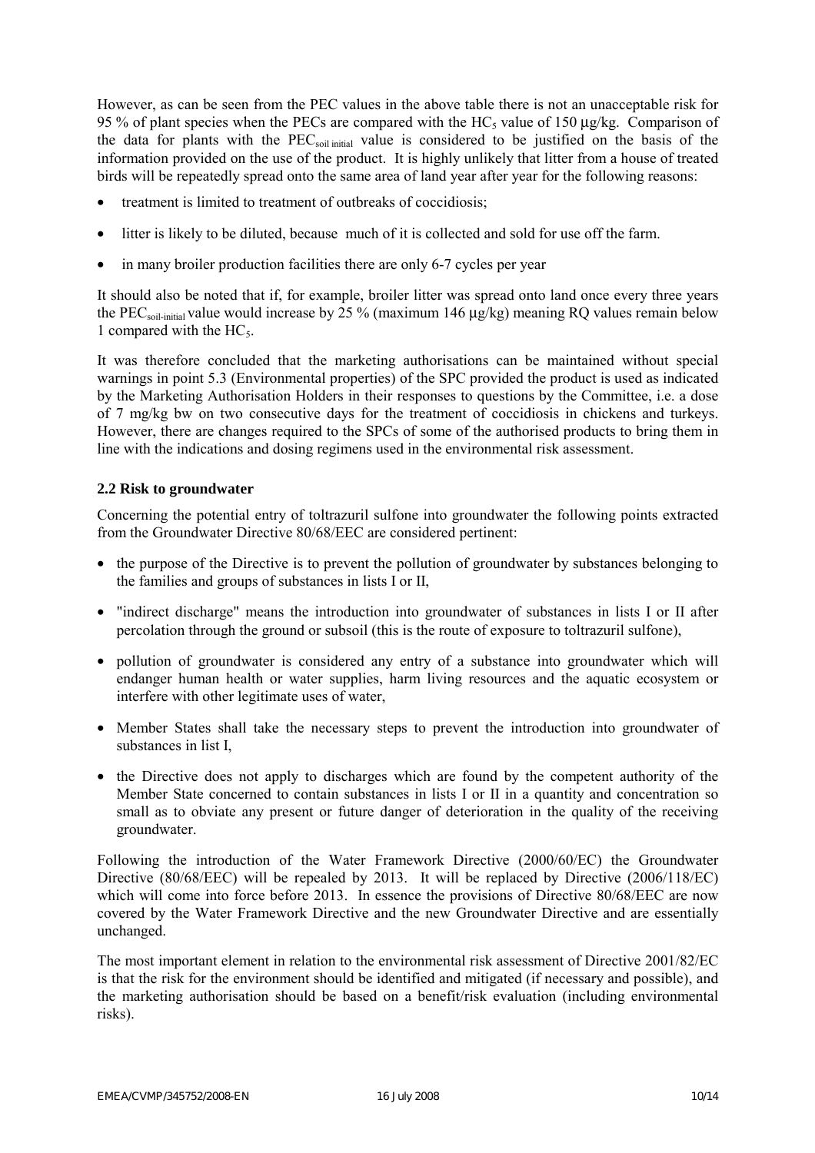However, as can be seen from the PEC values in the above table there is not an unacceptable risk for 95 % of plant species when the PECs are compared with the HC<sub>5</sub> value of 150  $\mu$ g/kg. Comparison of the data for plants with the PECsoil initial value is considered to be justified on the basis of the information provided on the use of the product. It is highly unlikely that litter from a house of treated birds will be repeatedly spread onto the same area of land year after year for the following reasons:

- treatment is limited to treatment of outbreaks of coccidiosis;
- litter is likely to be diluted, because much of it is collected and sold for use off the farm.
- in many broiler production facilities there are only 6-7 cycles per year

It should also be noted that if, for example, broiler litter was spread onto land once every three years the PECsoil-initial value would increase by 25 % (maximum 146 µg/kg) meaning RQ values remain below 1 compared with the  $HC_5$ .

It was therefore concluded that the marketing authorisations can be maintained without special warnings in point 5.3 (Environmental properties) of the SPC provided the product is used as indicated by the Marketing Authorisation Holders in their responses to questions by the Committee, i.e. a dose of 7 mg/kg bw on two consecutive days for the treatment of coccidiosis in chickens and turkeys. However, there are changes required to the SPCs of some of the authorised products to bring them in line with the indications and dosing regimens used in the environmental risk assessment.

### **2.2 Risk to groundwater**

Concerning the potential entry of toltrazuril sulfone into groundwater the following points extracted from the Groundwater Directive 80/68/EEC are considered pertinent:

- the purpose of the Directive is to prevent the pollution of groundwater by substances belonging to the families and groups of substances in lists I or II,
- "indirect discharge" means the introduction into groundwater of substances in lists I or II after percolation through the ground or subsoil (this is the route of exposure to toltrazuril sulfone),
- pollution of groundwater is considered any entry of a substance into groundwater which will endanger human health or water supplies, harm living resources and the aquatic ecosystem or interfere with other legitimate uses of water,
- Member States shall take the necessary steps to prevent the introduction into groundwater of substances in list I,
- the Directive does not apply to discharges which are found by the competent authority of the Member State concerned to contain substances in lists I or II in a quantity and concentration so small as to obviate any present or future danger of deterioration in the quality of the receiving groundwater.

Following the introduction of the Water Framework Directive (2000/60/EC) the Groundwater Directive (80/68/EEC) will be repealed by 2013. It will be replaced by Directive (2006/118/EC) which will come into force before 2013. In essence the provisions of Directive 80/68/EEC are now covered by the Water Framework Directive and the new Groundwater Directive and are essentially unchanged.

The most important element in relation to the environmental risk assessment of Directive 2001/82/EC is that the risk for the environment should be identified and mitigated (if necessary and possible), and the marketing authorisation should be based on a benefit/risk evaluation (including environmental risks).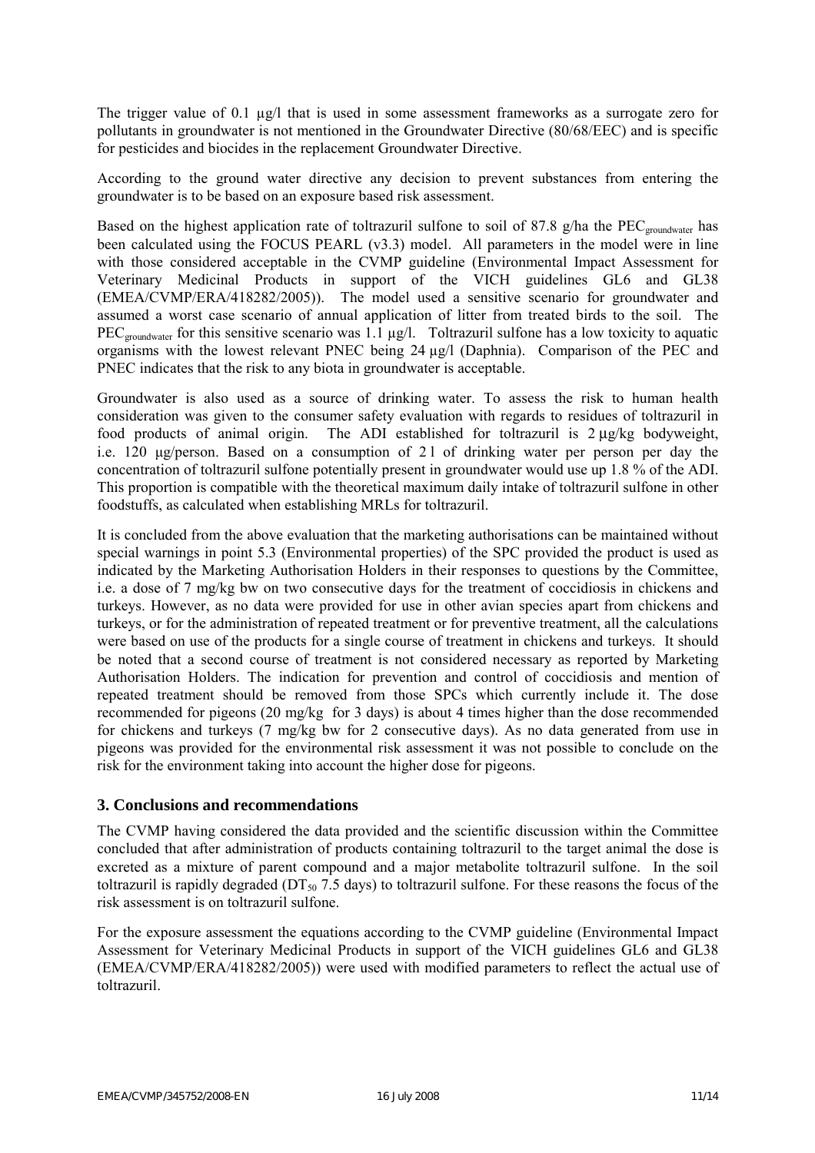The trigger value of 0.1 µg/l that is used in some assessment frameworks as a surrogate zero for pollutants in groundwater is not mentioned in the Groundwater Directive (80/68/EEC) and is specific for pesticides and biocides in the replacement Groundwater Directive.

According to the ground water directive any decision to prevent substances from entering the groundwater is to be based on an exposure based risk assessment.

Based on the highest application rate of toltrazuril sulfone to soil of 87.8 g/ha the PEC<sub>groundwater</sub> has been calculated using the FOCUS PEARL (v3.3) model. All parameters in the model were in line with those considered acceptable in the CVMP guideline (Environmental Impact Assessment for Veterinary Medicinal Products in support of the VICH guidelines GL6 and GL38 (EMEA/CVMP/ERA/418282/2005)). The model used a sensitive scenario for groundwater and assumed a worst case scenario of annual application of litter from treated birds to the soil. The  $PEC_{groundwater}$  for this sensitive scenario was 1.1  $\mu$ g/l. Toltrazuril sulfone has a low toxicity to aquatic organisms with the lowest relevant PNEC being 24 µg/l (Daphnia). Comparison of the PEC and PNEC indicates that the risk to any biota in groundwater is acceptable.

Groundwater is also used as a source of drinking water. To assess the risk to human health consideration was given to the consumer safety evaluation with regards to residues of toltrazuril in food products of animal origin. The ADI established for toltrazuril is 2 µg/kg bodyweight, i.e. 120 µg/person. Based on a consumption of 2 l of drinking water per person per day the concentration of toltrazuril sulfone potentially present in groundwater would use up 1.8 % of the ADI. This proportion is compatible with the theoretical maximum daily intake of toltrazuril sulfone in other foodstuffs, as calculated when establishing MRLs for toltrazuril.

It is concluded from the above evaluation that the marketing authorisations can be maintained without special warnings in point 5.3 (Environmental properties) of the SPC provided the product is used as indicated by the Marketing Authorisation Holders in their responses to questions by the Committee, i.e. a dose of 7 mg/kg bw on two consecutive days for the treatment of coccidiosis in chickens and turkeys. However, as no data were provided for use in other avian species apart from chickens and turkeys, or for the administration of repeated treatment or for preventive treatment, all the calculations were based on use of the products for a single course of treatment in chickens and turkeys. It should be noted that a second course of treatment is not considered necessary as reported by Marketing Authorisation Holders. The indication for prevention and control of coccidiosis and mention of repeated treatment should be removed from those SPCs which currently include it. The dose recommended for pigeons (20 mg/kg for 3 days) is about 4 times higher than the dose recommended for chickens and turkeys (7 mg/kg bw for 2 consecutive days). As no data generated from use in pigeons was provided for the environmental risk assessment it was not possible to conclude on the risk for the environment taking into account the higher dose for pigeons.

### **3. Conclusions and recommendations**

The CVMP having considered the data provided and the scientific discussion within the Committee concluded that after administration of products containing toltrazuril to the target animal the dose is excreted as a mixture of parent compound and a major metabolite toltrazuril sulfone. In the soil toltrazuril is rapidly degraded ( $DT_{50}$  7.5 days) to toltrazuril sulfone. For these reasons the focus of the risk assessment is on toltrazuril sulfone.

For the exposure assessment the equations according to the CVMP guideline (Environmental Impact Assessment for Veterinary Medicinal Products in support of the VICH guidelines GL6 and GL38 (EMEA/CVMP/ERA/418282/2005)) were used with modified parameters to reflect the actual use of toltrazuril.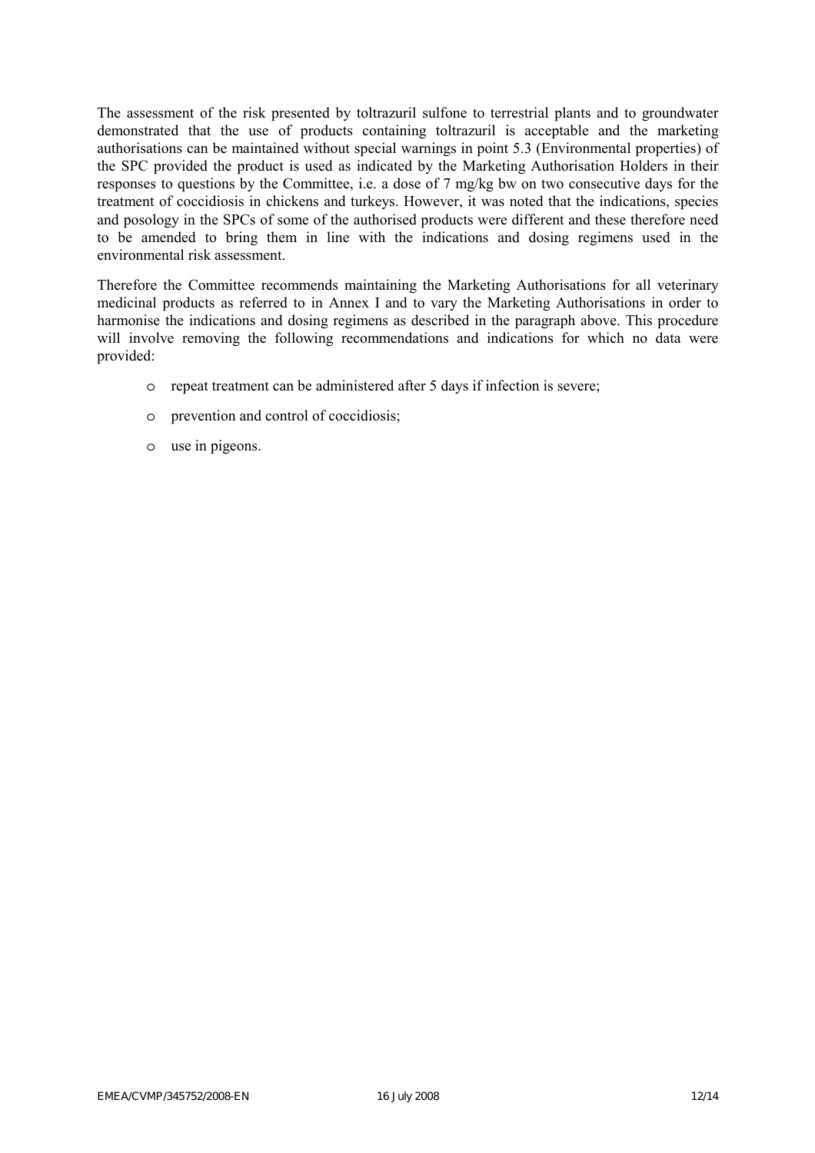The assessment of the risk presented by toltrazuril sulfone to terrestrial plants and to groundwater demonstrated that the use of products containing toltrazuril is acceptable and the marketing authorisations can be maintained without special warnings in point 5.3 (Environmental properties) of the SPC provided the product is used as indicated by the Marketing Authorisation Holders in their responses to questions by the Committee, i.e. a dose of 7 mg/kg bw on two consecutive days for the treatment of coccidiosis in chickens and turkeys. However, it was noted that the indications, species and posology in the SPCs of some of the authorised products were different and these therefore need to be amended to bring them in line with the indications and dosing regimens used in the environmental risk assessment.

Therefore the Committee recommends maintaining the Marketing Authorisations for all veterinary medicinal products as referred to in Annex I and to vary the Marketing Authorisations in order to harmonise the indications and dosing regimens as described in the paragraph above. This procedure will involve removing the following recommendations and indications for which no data were provided:

- o repeat treatment can be administered after 5 days if infection is severe;
- o prevention and control of coccidiosis;
- o use in pigeons.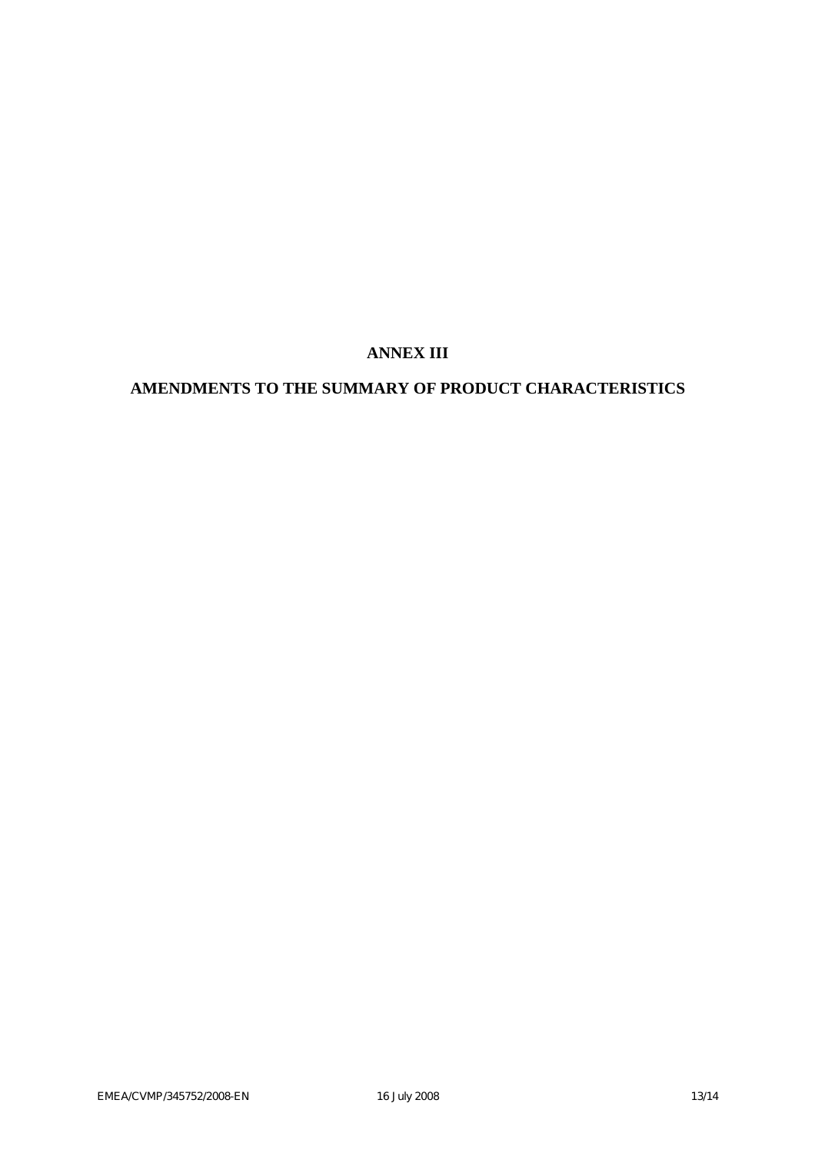# **ANNEX III**

# **AMENDMENTS TO THE SUMMARY OF PRODUCT CHARACTERISTICS**